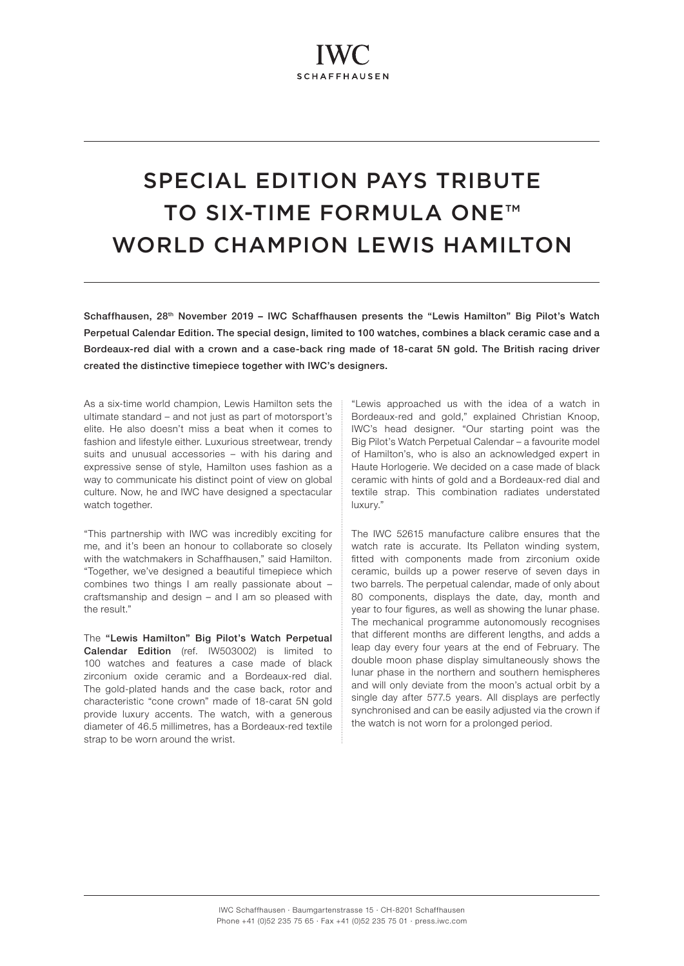# SPECIAL EDITION PAYS TRIBUTE TO SIX-TIME FORMULA ONE<sup>™</sup> WORLD CHAMPION LEWIS HAMILTON

Schaffhausen, 28<sup>th</sup> November 2019 – IWC Schaffhausen presents the "Lewis Hamilton" Big Pilot's Watch Perpetual Calendar Edition. The special design, limited to 100 watches, combines a black ceramic case and a Bordeaux-red dial with a crown and a case-back ring made of 18-carat 5N gold. The British racing driver created the distinctive timepiece together with IWC's designers.

As a six-time world champion, Lewis Hamilton sets the ultimate standard – and not just as part of motorsport's elite. He also doesn't miss a beat when it comes to fashion and lifestyle either. Luxurious streetwear, trendy suits and unusual accessories – with his daring and expressive sense of style, Hamilton uses fashion as a way to communicate his distinct point of view on global culture. Now, he and IWC have designed a spectacular watch together.

"This partnership with IWC was incredibly exciting for me, and it's been an honour to collaborate so closely with the watchmakers in Schaffhausen," said Hamilton. "Together, we've designed a beautiful timepiece which combines two things I am really passionate about – craftsmanship and design – and I am so pleased with the result."

The "Lewis Hamilton" Big Pilot's Watch Perpetual Calendar Edition (ref. IW503002) is limited to 100 watches and features a case made of black zirconium oxide ceramic and a Bordeaux-red dial. The gold-plated hands and the case back, rotor and characteristic "cone crown" made of 18-carat 5N gold provide luxury accents. The watch, with a generous diameter of 46.5 millimetres, has a Bordeaux-red textile strap to be worn around the wrist.

"Lewis approached us with the idea of a watch in Bordeaux-red and gold," explained Christian Knoop, IWC's head designer. "Our starting point was the Big Pilot's Watch Perpetual Calendar – a favourite model of Hamilton's, who is also an acknowledged expert in Haute Horlogerie. We decided on a case made of black ceramic with hints of gold and a Bordeaux-red dial and textile strap. This combination radiates understated luxury."

The IWC 52615 manufacture calibre ensures that the watch rate is accurate. Its Pellaton winding system, fitted with components made from zirconium oxide ceramic, builds up a power reserve of seven days in two barrels. The perpetual calendar, made of only about 80 components, displays the date, day, month and year to four figures, as well as showing the lunar phase. The mechanical programme autonomously recognises that different months are different lengths, and adds a leap day every four years at the end of February. The double moon phase display simultaneously shows the lunar phase in the northern and southern hemispheres and will only deviate from the moon's actual orbit by a single day after 577.5 years. All displays are perfectly synchronised and can be easily adjusted via the crown if the watch is not worn for a prolonged period.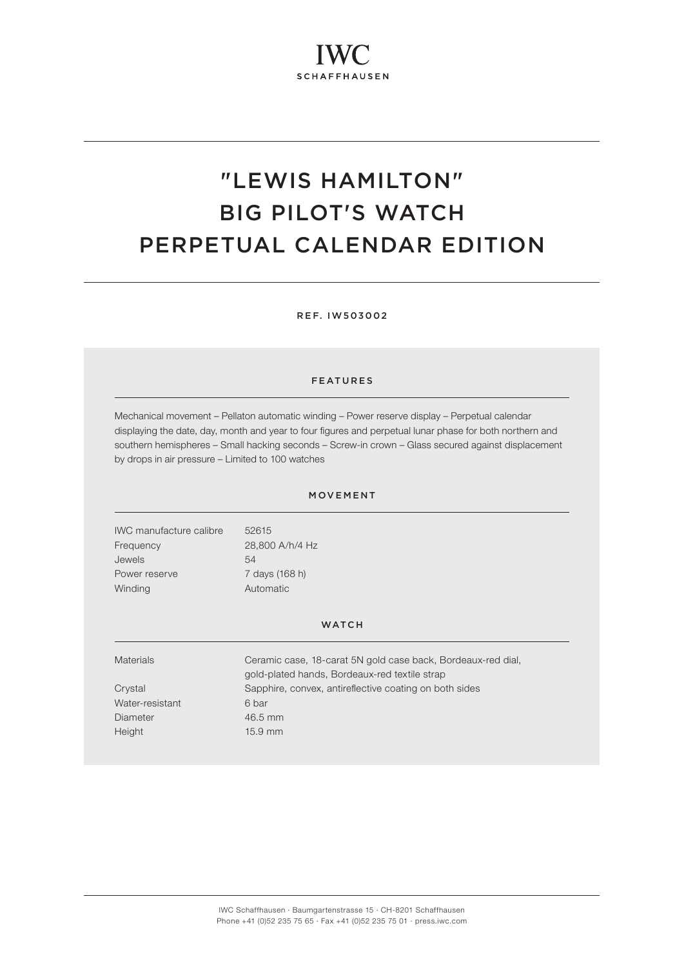# "LEWIS HAMILTON" BIG PILOT'S WATCH PERPETUAL CALENDAR EDITION

REF. IW503002

## FEATURES

Mechanical movement – Pellaton automatic winding – Power reserve display – Perpetual calendar displaying the date, day, month and year to four figures and perpetual lunar phase for both northern and southern hemispheres – Small hacking seconds – Screw-in crown – Glass secured against displacement by drops in air pressure – Limited to 100 watches

### MOVEMENT

IWC manufacture calibre 52615 Frequency 28,800 A/h/4 Hz Jewels 54 Power reserve 7 days (168 h) Winding **Automatic** 

#### **WATCH**

| <b>Materials</b> | Ceramic case, 18-carat 5N gold case back, Bordeaux-red dial,<br>gold-plated hands, Bordeaux-red textile strap |
|------------------|---------------------------------------------------------------------------------------------------------------|
| Crystal          | Sapphire, convex, antireflective coating on both sides                                                        |
| Water-resistant  | 6 bar                                                                                                         |
| Diameter         | 46.5 mm                                                                                                       |
| Height           | $15.9$ mm                                                                                                     |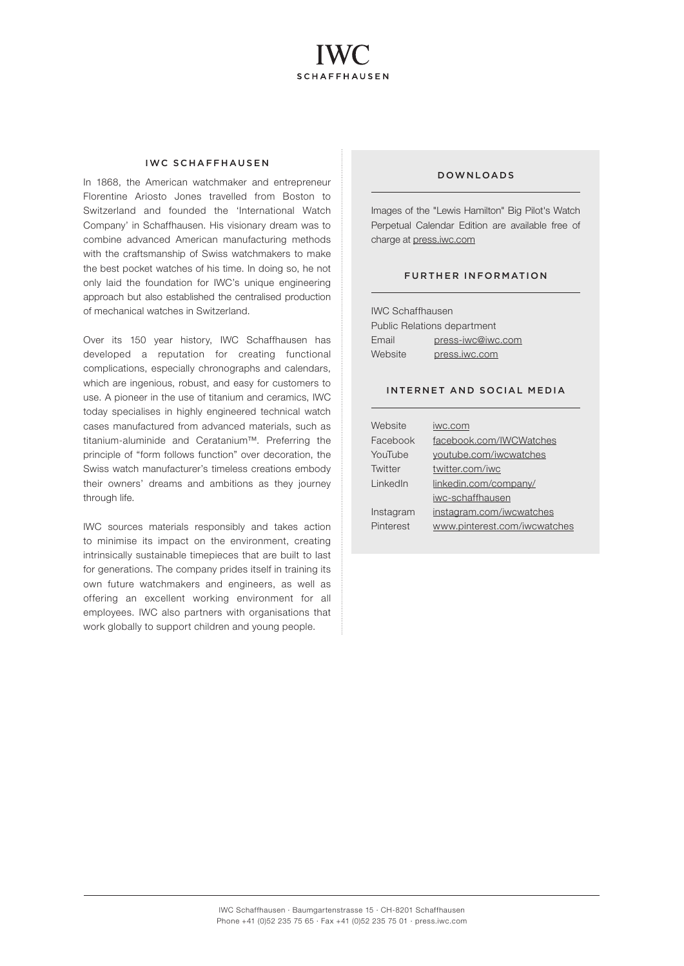

#### IWC SCHAFFHAUSEN

In 1868, the American watchmaker and entrepreneur Florentine Ariosto Jones travelled from Boston to Switzerland and founded the 'International Watch Company' in Schaffhausen. His visionary dream was to combine advanced American manufacturing methods with the craftsmanship of Swiss watchmakers to make the best pocket watches of his time. In doing so, he not only laid the foundation for IWC's unique engineering approach but also established the centralised production of mechanical watches in Switzerland.

Over its 150 year history, IWC Schaffhausen has developed a reputation for creating functional complications, especially chronographs and calendars, which are ingenious, robust, and easy for customers to use. A pioneer in the use of titanium and ceramics, IWC today specialises in highly engineered technical watch cases manufactured from advanced materials, such as titanium-aluminide and Ceratanium™. Preferring the principle of "form follows function" over decoration, the Swiss watch manufacturer's timeless creations embody their owners' dreams and ambitions as they journey through life.

IWC sources materials responsibly and takes action to minimise its impact on the environment, creating intrinsically sustainable timepieces that are built to last for generations. The company prides itself in training its own future watchmakers and engineers, as well as offering an excellent working environment for all employees. IWC also partners with organisations that work globally to support children and young people.

#### DOWNLOADS

Images of the "Lewis Hamilton" Big Pilot's Watch Perpetual Calendar Edition are available free of charge at [press.iwc.com](http://press.iwc.com)

#### FURTHER INFORMATION

IWC Schaffhausen Public Relations department Email [press-iwc@iwc.com](mailto:press-iwc%40iwc.com?subject=) Website [press.iwc.com](http://press.iwc.com)

### INTERNET AND SOCIAL MEDIA

| Website   | iwc.com                      |
|-----------|------------------------------|
| Facebook  | facebook.com/IWCWatches      |
| YouTube   | youtube.com/iwcwatches       |
| Twitter   | twitter.com/iwc              |
| LinkedIn  | linkedin.com/company/        |
|           | iwc-schaffhausen             |
| Instagram | instagram.com/iwcwatches     |
| Pinterest | www.pinterest.com/iwcwatches |
|           |                              |